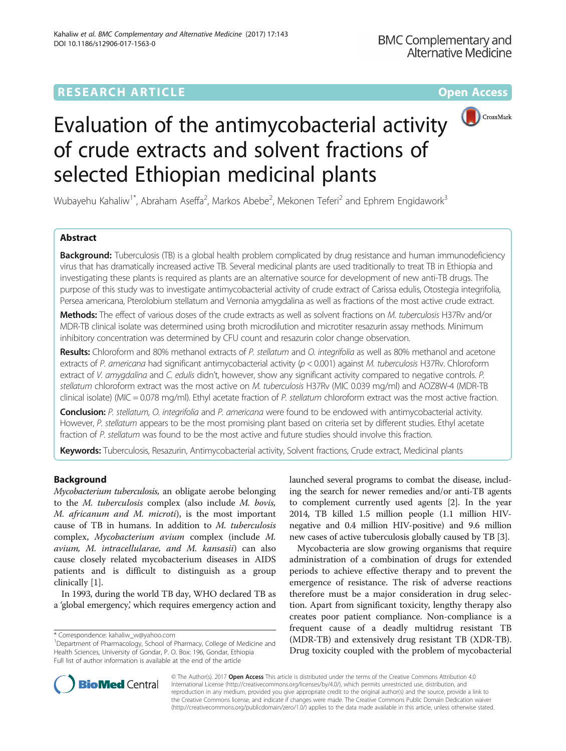## **RESEARCH ARTICLE Example 2018 12:00 Department of the Contract Open Access**



# Evaluation of the antimycobacterial activity of crude extracts and solvent fractions of selected Ethiopian medicinal plants

Wubayehu Kahaliw<sup>1\*</sup>, Abraham Aseffa<sup>2</sup>, Markos Abebe<sup>2</sup>, Mekonen Teferi<sup>2</sup> and Ephrem Engidawork<sup>3</sup>

## Abstract

Background: Tuberculosis (TB) is a global health problem complicated by drug resistance and human immunodeficiency virus that has dramatically increased active TB. Several medicinal plants are used traditionally to treat TB in Ethiopia and investigating these plants is required as plants are an alternative source for development of new anti-TB drugs. The purpose of this study was to investigate antimycobacterial activity of crude extract of Carissa edulis, Otostegia integrifolia, Persea americana, Pterolobium stellatum and Vernonia amygdalina as well as fractions of the most active crude extract.

Methods: The effect of various doses of the crude extracts as well as solvent fractions on M. tuberculosis H37Rv and/or MDR-TB clinical isolate was determined using broth microdilution and microtiter resazurin assay methods. Minimum inhibitory concentration was determined by CFU count and resazurin color change observation.

Results: Chloroform and 80% methanol extracts of P. stellatum and O. integrifolia as well as 80% methanol and acetone extracts of P. americana had significant antimycobacterial activity (p < 0.001) against M. tuberculosis H37Rv. Chloroform extract of V. amyadalina and C. edulis didn't, however, show any significant activity compared to negative controls. P. stellatum chloroform extract was the most active on M. tuberculosis H37Rv (MIC 0.039 mg/ml) and AOZ8W-4 (MDR-TB clinical isolate) (MIC = 0.078 mg/ml). Ethyl acetate fraction of P. stellatum chloroform extract was the most active fraction.

Conclusion: P. stellatum, O. integrifolia and P. americana were found to be endowed with antimycobacterial activity. However, P. stellatum appears to be the most promising plant based on criteria set by different studies. Ethyl acetate fraction of P. stellatum was found to be the most active and future studies should involve this fraction.

Keywords: Tuberculosis, Resazurin, Antimycobacterial activity, Solvent fractions, Crude extract, Medicinal plants

## Background

Mycobacterium tuberculosis, an obligate aerobe belonging to the M. tuberculosis complex (also include M. bovis, M. africanum and M. microti), is the most important cause of TB in humans. In addition to M. tuberculosis complex, Mycobacterium avium complex (include M. avium, M. intracellularae, and M. kansasii) can also cause closely related mycobacterium diseases in AIDS patients and is difficult to distinguish as a group clinically [[1\]](#page-7-0).

In 1993, during the world TB day, WHO declared TB as a 'global emergency,' which requires emergency action and launched several programs to combat the disease, including the search for newer remedies and/or anti-TB agents to complement currently used agents [\[2\]](#page-7-0). In the year 2014, TB killed 1.5 million people (1.1 million HIVnegative and 0.4 million HIV-positive) and 9.6 million new cases of active tuberculosis globally caused by TB [\[3](#page-7-0)].

Mycobacteria are slow growing organisms that require administration of a combination of drugs for extended periods to achieve effective therapy and to prevent the emergence of resistance. The risk of adverse reactions therefore must be a major consideration in drug selection. Apart from significant toxicity, lengthy therapy also creates poor patient compliance. Non-compliance is a frequent cause of a deadly multidrug resistant TB (MDR-TB) and extensively drug resistant TB (XDR-TB). Drug toxicity coupled with the problem of mycobacterial



© The Author(s). 2017 **Open Access** This article is distributed under the terms of the Creative Commons Attribution 4.0 International License [\(http://creativecommons.org/licenses/by/4.0/](http://creativecommons.org/licenses/by/4.0/)), which permits unrestricted use, distribution, and reproduction in any medium, provided you give appropriate credit to the original author(s) and the source, provide a link to the Creative Commons license, and indicate if changes were made. The Creative Commons Public Domain Dedication waiver [\(http://creativecommons.org/publicdomain/zero/1.0/](http://creativecommons.org/publicdomain/zero/1.0/)) applies to the data made available in this article, unless otherwise stated.

<sup>\*</sup> Correspondence: [kahaliw\\_w@yahoo.com](mailto:kahaliw_w@yahoo.com) <sup>1</sup>

<sup>&</sup>lt;sup>1</sup>Department of Pharmacology, School of Pharmacy, College of Medicine and Health Sciences, University of Gondar, P. O. Box: 196, Gondar, Ethiopia Full list of author information is available at the end of the article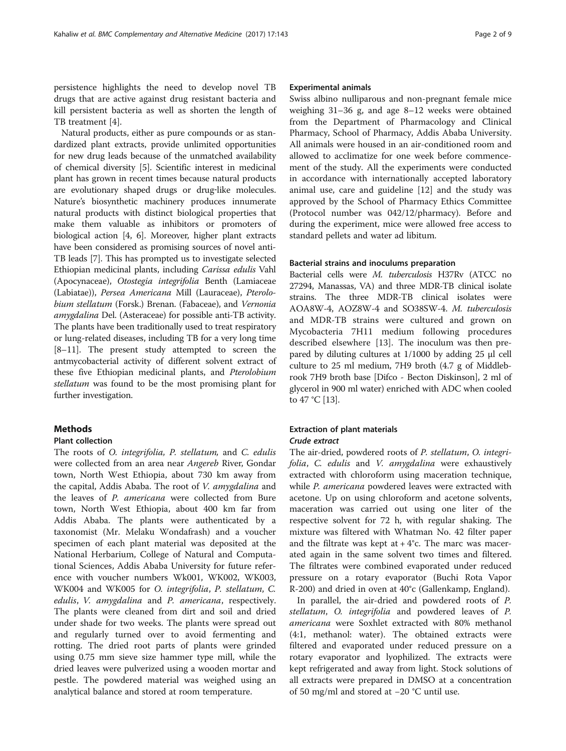persistence highlights the need to develop novel TB drugs that are active against drug resistant bacteria and kill persistent bacteria as well as shorten the length of TB treatment [\[4\]](#page-7-0).

Natural products, either as pure compounds or as standardized plant extracts, provide unlimited opportunities for new drug leads because of the unmatched availability of chemical diversity [[5\]](#page-7-0). Scientific interest in medicinal plant has grown in recent times because natural products are evolutionary shaped drugs or drug-like molecules. Nature's biosynthetic machinery produces innumerate natural products with distinct biological properties that make them valuable as inhibitors or promoters of biological action [\[4, 6\]](#page-7-0). Moreover, higher plant extracts have been considered as promising sources of novel anti-TB leads [[7\]](#page-7-0). This has prompted us to investigate selected Ethiopian medicinal plants, including Carissa edulis Vahl (Apocynaceae), Otostegia integrifolia Benth (Lamiaceae (Labiatae)), Persea Americana Mill (Lauraceae), Pterolobium stellatum (Forsk.) Brenan. (Fabaceae), and Vernonia amygdalina Del. (Asteraceae) for possible anti-TB activity. The plants have been traditionally used to treat respiratory or lung-related diseases, including TB for a very long time [[8](#page-7-0)–[11](#page-7-0)]. The present study attempted to screen the antmycobacterial activity of different solvent extract of these five Ethiopian medicinal plants, and Pterolobium stellatum was found to be the most promising plant for further investigation.

## **Methods**

#### Plant collection

The roots of O. integrifolia, P. stellatum, and C. edulis were collected from an area near Angereb River, Gondar town, North West Ethiopia, about 730 km away from the capital, Addis Ababa. The root of V. amygdalina and the leaves of P. americana were collected from Bure town, North West Ethiopia, about 400 km far from Addis Ababa. The plants were authenticated by a taxonomist (Mr. Melaku Wondafrash) and a voucher specimen of each plant material was deposited at the National Herbarium, College of Natural and Computational Sciences, Addis Ababa University for future reference with voucher numbers Wk001, WK002, WK003, WK004 and WK005 for O. integrifolia, P. stellatum, C. edulis, V. amygdalina and P. americana, respectively. The plants were cleaned from dirt and soil and dried under shade for two weeks. The plants were spread out and regularly turned over to avoid fermenting and rotting. The dried root parts of plants were grinded using 0.75 mm sieve size hammer type mill, while the dried leaves were pulverized using a wooden mortar and pestle. The powdered material was weighed using an analytical balance and stored at room temperature.

#### Experimental animals

Swiss albino nulliparous and non-pregnant female mice weighing 31–36 g, and age 8–12 weeks were obtained from the Department of Pharmacology and Clinical Pharmacy, School of Pharmacy, Addis Ababa University. All animals were housed in an air-conditioned room and allowed to acclimatize for one week before commencement of the study. All the experiments were conducted in accordance with internationally accepted laboratory animal use, care and guideline [[12](#page-7-0)] and the study was approved by the School of Pharmacy Ethics Committee (Protocol number was 042/12/pharmacy). Before and during the experiment, mice were allowed free access to standard pellets and water ad libitum.

#### Bacterial strains and inoculums preparation

Bacterial cells were M. tuberculosis H37Rv (ATCC no 27294, Manassas, VA) and three MDR-TB clinical isolate strains. The three MDR-TB clinical isolates were AOA8W-4, AOZ8W-4 and SO38SW-4. M. tuberculosis and MDR-TB strains were cultured and grown on Mycobacteria 7H11 medium following procedures described elsewhere [[13\]](#page-7-0). The inoculum was then prepared by diluting cultures at 1/1000 by adding 25 μl cell culture to 25 ml medium, 7H9 broth (4.7 g of Middlebrook 7H9 broth base [Difco - Becton Diskinson], 2 ml of glycerol in 900 ml water) enriched with ADC when cooled to 47 °C [[13](#page-7-0)].

### Extraction of plant materials Crude extract

The air-dried, powdered roots of P. stellatum, O. integrifolia, C. edulis and V. amygdalina were exhaustively extracted with chloroform using maceration technique, while P. americana powdered leaves were extracted with acetone. Up on using chloroform and acetone solvents, maceration was carried out using one liter of the respective solvent for 72 h, with regular shaking. The mixture was filtered with Whatman No. 42 filter paper and the filtrate was kept at  $+4^{\circ}$ c. The marc was macerated again in the same solvent two times and filtered. The filtrates were combined evaporated under reduced pressure on a rotary evaporator (Buchi Rota Vapor R-200) and dried in oven at 40°c (Gallenkamp, England).

In parallel, the air-dried and powdered roots of P. stellatum, O. integrifolia and powdered leaves of P. americana were Soxhlet extracted with 80% methanol (4:1, methanol: water). The obtained extracts were filtered and evaporated under reduced pressure on a rotary evaporator and lyophilized. The extracts were kept refrigerated and away from light. Stock solutions of all extracts were prepared in DMSO at a concentration of 50 mg/ml and stored at −20 °C until use.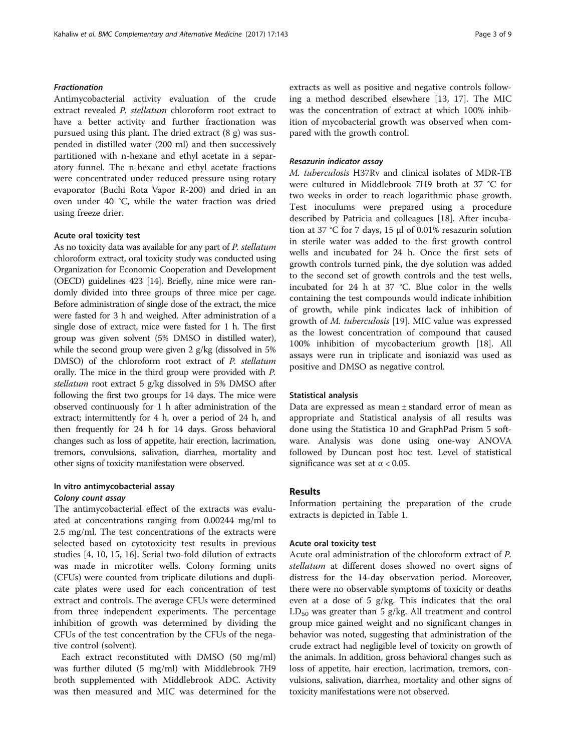## Fractionation

Antimycobacterial activity evaluation of the crude extract revealed P. stellatum chloroform root extract to have a better activity and further fractionation was pursued using this plant. The dried extract (8 g) was suspended in distilled water (200 ml) and then successively partitioned with n-hexane and ethyl acetate in a separatory funnel. The n-hexane and ethyl acetate fractions were concentrated under reduced pressure using rotary evaporator (Buchi Rota Vapor R-200) and dried in an oven under 40 °C, while the water fraction was dried using freeze drier.

#### Acute oral toxicity test

As no toxicity data was available for any part of P. stellatum chloroform extract, oral toxicity study was conducted using Organization for Economic Cooperation and Development (OECD) guidelines 423 [[14\]](#page-7-0). Briefly, nine mice were randomly divided into three groups of three mice per cage. Before administration of single dose of the extract, the mice were fasted for 3 h and weighed. After administration of a single dose of extract, mice were fasted for 1 h. The first group was given solvent (5% DMSO in distilled water), while the second group were given 2 g/kg (dissolved in 5% DMSO) of the chloroform root extract of P. stellatum orally. The mice in the third group were provided with P. stellatum root extract 5 g/kg dissolved in 5% DMSO after following the first two groups for 14 days. The mice were observed continuously for 1 h after administration of the extract; intermittently for 4 h, over a period of 24 h, and then frequently for 24 h for 14 days. Gross behavioral changes such as loss of appetite, hair erection, lacrimation, tremors, convulsions, salivation, diarrhea, mortality and other signs of toxicity manifestation were observed.

## In vitro antimycobacterial assay Colony count assay

The antimycobacterial effect of the extracts was evaluated at concentrations ranging from 0.00244 mg/ml to 2.5 mg/ml. The test concentrations of the extracts were selected based on cytotoxicity test results in previous studies [\[4](#page-7-0), [10](#page-7-0), [15](#page-7-0), [16](#page-8-0)]. Serial two-fold dilution of extracts was made in microtiter wells. Colony forming units (CFUs) were counted from triplicate dilutions and duplicate plates were used for each concentration of test extract and controls. The average CFUs were determined from three independent experiments. The percentage inhibition of growth was determined by dividing the CFUs of the test concentration by the CFUs of the negative control (solvent).

Each extract reconstituted with DMSO (50 mg/ml) was further diluted (5 mg/ml) with Middlebrook 7H9 broth supplemented with Middlebrook ADC. Activity was then measured and MIC was determined for the extracts as well as positive and negative controls following a method described elsewhere [[13,](#page-7-0) [17\]](#page-8-0). The MIC was the concentration of extract at which 100% inhibition of mycobacterial growth was observed when compared with the growth control.

#### Resazurin indicator assay

M. tuberculosis H37Rv and clinical isolates of MDR-TB were cultured in Middlebrook 7H9 broth at 37 °C for two weeks in order to reach logarithmic phase growth. Test inoculums were prepared using a procedure described by Patricia and colleagues [[18](#page-8-0)]. After incubation at 37 °C for 7 days, 15 μl of 0.01% resazurin solution in sterile water was added to the first growth control wells and incubated for 24 h. Once the first sets of growth controls turned pink, the dye solution was added to the second set of growth controls and the test wells, incubated for 24 h at 37 °C. Blue color in the wells containing the test compounds would indicate inhibition of growth, while pink indicates lack of inhibition of growth of M. tuberculosis [\[19\]](#page-8-0). MIC value was expressed as the lowest concentration of compound that caused 100% inhibition of mycobacterium growth [\[18](#page-8-0)]. All assays were run in triplicate and isoniazid was used as positive and DMSO as negative control.

#### Statistical analysis

Data are expressed as mean ± standard error of mean as appropriate and Statistical analysis of all results was done using the Statistica 10 and GraphPad Prism 5 software. Analysis was done using one-way ANOVA followed by Duncan post hoc test. Level of statistical significance was set at  $\alpha$  < 0.05.

## Results

Information pertaining the preparation of the crude extracts is depicted in Table [1](#page-3-0).

### Acute oral toxicity test

Acute oral administration of the chloroform extract of P. stellatum at different doses showed no overt signs of distress for the 14-day observation period. Moreover, there were no observable symptoms of toxicity or deaths even at a dose of 5 g/kg. This indicates that the oral  $LD_{50}$  was greater than 5 g/kg. All treatment and control group mice gained weight and no significant changes in behavior was noted, suggesting that administration of the crude extract had negligible level of toxicity on growth of the animals. In addition, gross behavioral changes such as loss of appetite, hair erection, lacrimation, tremors, convulsions, salivation, diarrhea, mortality and other signs of toxicity manifestations were not observed.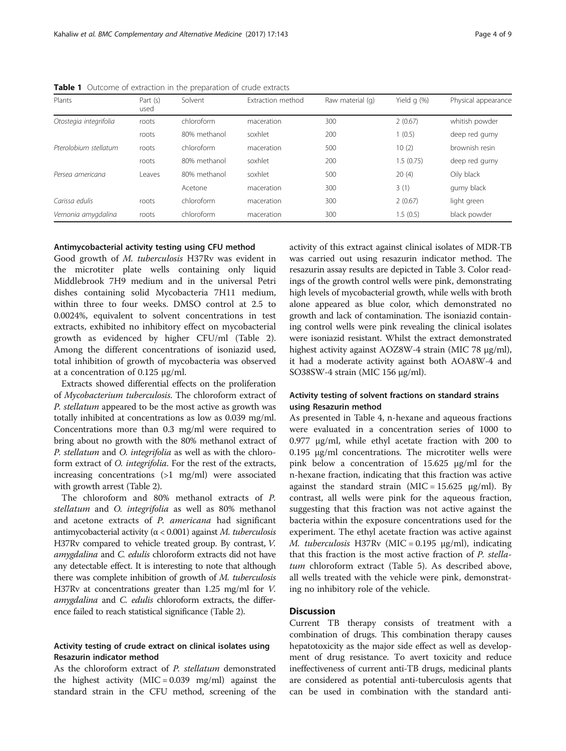| Plants                 | Part (s)<br>used | Solvent      | Extraction method | Raw material (q) | Yield q (%) | Physical appearance |
|------------------------|------------------|--------------|-------------------|------------------|-------------|---------------------|
| Otostegia integrifolia | roots            | chloroform   | maceration        | 300              | 2(0.67)     | whitish powder      |
|                        | roots            | 80% methanol | soxhlet           | 200              | 1(0.5)      | deep red gumy       |
| Pterolobium stellatum  | roots            | chloroform   | maceration        | 500              | 10(2)       | brownish resin      |
|                        | roots            | 80% methanol | soxhlet           | 200              | 1.5(0.75)   | deep red gumy       |
| Persea americana       | _eaves           | 80% methanol | soxhlet           | 500              | 20(4)       | Oily black          |
|                        |                  | Acetone      | maceration        | 300              | 3(1)        | gumy black          |
| Carissa edulis         | roots            | chloroform   | maceration        | 300              | 2(0.67)     | light green         |
| Vernonia amygdalina    | roots            | chloroform   | maceration        | 300              | 1.5(0.5)    | black powder        |

<span id="page-3-0"></span>Table 1 Outcome of extraction in the preparation of crude extracts

#### Antimycobacterial activity testing using CFU method

Good growth of M. tuberculosis H37Rv was evident in the microtiter plate wells containing only liquid Middlebrook 7H9 medium and in the universal Petri dishes containing solid Mycobacteria 7H11 medium, within three to four weeks. DMSO control at 2.5 to 0.0024%, equivalent to solvent concentrations in test extracts, exhibited no inhibitory effect on mycobacterial growth as evidenced by higher CFU/ml (Table [2](#page-4-0)). Among the different concentrations of isoniazid used, total inhibition of growth of mycobacteria was observed at a concentration of 0.125 μg/ml.

Extracts showed differential effects on the proliferation of Mycobacterium tuberculosis. The chloroform extract of P. stellatum appeared to be the most active as growth was totally inhibited at concentrations as low as 0.039 mg/ml. Concentrations more than 0.3 mg/ml were required to bring about no growth with the 80% methanol extract of P. stellatum and O. integrifolia as well as with the chloroform extract of O. integrifolia. For the rest of the extracts, increasing concentrations (>1 mg/ml) were associated with growth arrest (Table [2](#page-4-0)).

The chloroform and 80% methanol extracts of P. stellatum and O. integrifolia as well as 80% methanol and acetone extracts of P. americana had significant antimycobacterial activity ( $\alpha$  < 0.001) against *M. tuberculosis* H37Rv compared to vehicle treated group. By contrast, V. amygdalina and C. edulis chloroform extracts did not have any detectable effect. It is interesting to note that although there was complete inhibition of growth of M. tuberculosis H37Rv at concentrations greater than 1.25 mg/ml for V. amygdalina and C. edulis chloroform extracts, the difference failed to reach statistical significance (Table [2\)](#page-4-0).

## Activity testing of crude extract on clinical isolates using Resazurin indicator method

As the chloroform extract of P. stellatum demonstrated the highest activity  $(MIC = 0.039 \text{ mg/ml})$  against the standard strain in the CFU method, screening of the

activity of this extract against clinical isolates of MDR-TB was carried out using resazurin indicator method. The resazurin assay results are depicted in Table [3](#page-5-0). Color readings of the growth control wells were pink, demonstrating high levels of mycobacterial growth, while wells with broth alone appeared as blue color, which demonstrated no growth and lack of contamination. The isoniazid containing control wells were pink revealing the clinical isolates were isoniazid resistant. Whilst the extract demonstrated highest activity against AOZ8W-4 strain (MIC 78 μg/ml), it had a moderate activity against both AOA8W-4 and SO38SW-4 strain (MIC 156 μg/ml).

## Activity testing of solvent fractions on standard strains using Resazurin method

As presented in Table [4](#page-5-0), n-hexane and aqueous fractions were evaluated in a concentration series of 1000 to 0.977 μg/ml, while ethyl acetate fraction with 200 to 0.195 μg/ml concentrations. The microtiter wells were pink below a concentration of 15.625 μg/ml for the n-hexane fraction, indicating that this fraction was active against the standard strain (MIC =  $15.625 \text{ µg/ml}$ ). By contrast, all wells were pink for the aqueous fraction, suggesting that this fraction was not active against the bacteria within the exposure concentrations used for the experiment. The ethyl acetate fraction was active against M. tuberculosis H37Rv (MIC =  $0.195 \mu g/ml$ ), indicating that this fraction is the most active fraction of P. stella-tum chloroform extract (Table [5](#page-6-0)). As described above, all wells treated with the vehicle were pink, demonstrating no inhibitory role of the vehicle.

## **Discussion**

Current TB therapy consists of treatment with a combination of drugs. This combination therapy causes hepatotoxicity as the major side effect as well as development of drug resistance. To avert toxicity and reduce ineffectiveness of current anti-TB drugs, medicinal plants are considered as potential anti-tuberculosis agents that can be used in combination with the standard anti-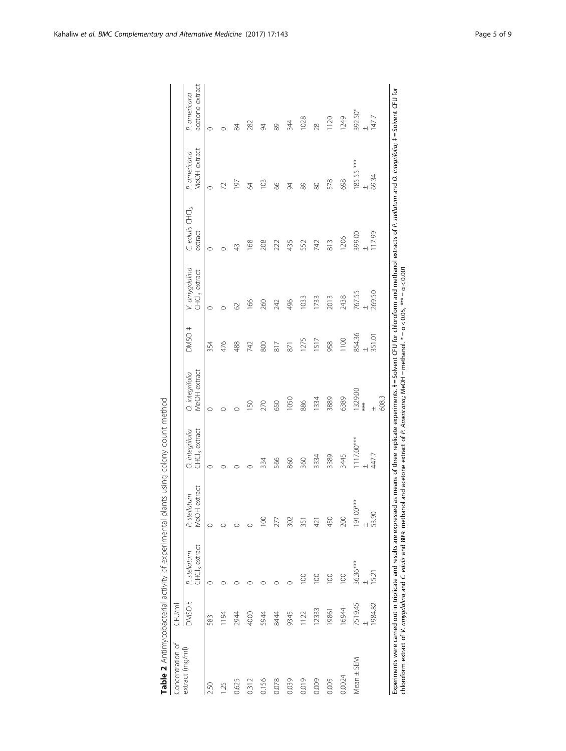<span id="page-4-0"></span>

| Concentration of                                                                                                                                      | CFU/ml            |                                           |                              |                                              |                                 |        |                                            |                                                                                                                                                                                                                            |                              |                                 |
|-------------------------------------------------------------------------------------------------------------------------------------------------------|-------------------|-------------------------------------------|------------------------------|----------------------------------------------|---------------------------------|--------|--------------------------------------------|----------------------------------------------------------------------------------------------------------------------------------------------------------------------------------------------------------------------------|------------------------------|---------------------------------|
| extract (mg/ml)                                                                                                                                       | DMSO <sub>t</sub> | CHCl <sub>3</sub> extract<br>P. stellatum | MeOH extract<br>P. stellatum | CHCl <sub>3</sub> extract<br>O. integrifolia | MeOH extract<br>O. integrifolia | DMSO # | V. amygdalina<br>CHCl <sub>3</sub> extract | C. edulis CHCl <sub>3</sub><br>extract                                                                                                                                                                                     | MeOH extract<br>P. americana | acetone extract<br>P. americana |
| 2.50                                                                                                                                                  | 583               | O                                         | O                            | ◠                                            | O                               | 354    | $\circ$                                    | O                                                                                                                                                                                                                          | $\circ$                      | $\circ$                         |
| 1.25                                                                                                                                                  | 1194              |                                           |                              |                                              |                                 | 476    |                                            | Ċ                                                                                                                                                                                                                          | 2                            |                                 |
| 0.625                                                                                                                                                 | 2944              |                                           |                              |                                              |                                 | 488    | 3                                          | ₩                                                                                                                                                                                                                          | ēΓ                           | 没                               |
| 0.312                                                                                                                                                 | 4000              |                                           |                              |                                              | $\frac{8}{2}$                   | 742    | 166                                        | 168                                                                                                                                                                                                                        | 64                           | 282                             |
| 0.156                                                                                                                                                 | 5944              |                                           | $\frac{8}{2}$                | 334                                          | 270                             | 800    | 260                                        | 208                                                                                                                                                                                                                        | $\frac{3}{2}$                | 24                              |
| 0.078                                                                                                                                                 | 8444              |                                           | 277                          | 566                                          | 650                             | 817    | 242                                        | 222                                                                                                                                                                                                                        | 66                           | 89                              |
| 0.039                                                                                                                                                 | 9345              |                                           | 302                          | 860                                          | 1050                            | 871    | 496                                        | 435                                                                                                                                                                                                                        | 94                           | 344                             |
| 0.019                                                                                                                                                 | 1122              | $\frac{8}{2}$                             | 351                          | 360                                          | 886                             | 1275   | 1033                                       | 552                                                                                                                                                                                                                        | 89                           | 1028                            |
| 0.009                                                                                                                                                 | 12333             | 100                                       | 421                          | 3334                                         | 1334                            | 1517   | 1733                                       | 742                                                                                                                                                                                                                        | 80                           | 28                              |
| 0.005                                                                                                                                                 | 19861             | $\overline{100}$                          | 450                          | 3389                                         | 3889                            | 958    | 2013                                       | 813                                                                                                                                                                                                                        | 578                          | 1120                            |
| 0.0024                                                                                                                                                | 16944             | 100                                       | 200                          | 3445                                         | 6389                            | 1100   | 2438                                       | 1206                                                                                                                                                                                                                       | 698                          | 1249                            |
| Mean ± SEM                                                                                                                                            | 7519.45           | 36.36***                                  | $191.00***$<br>$\ddot{}$     | $117.00***$                                  | 1329.00<br>$***$                | 854.36 | 767.55<br>$\pm$                            | 399.00                                                                                                                                                                                                                     | 185.55 ***<br>$\pm$          | 392.50*                         |
|                                                                                                                                                       | 1984.82           | 15.21                                     | 53.90                        | 447.7                                        | 608.3<br>$\ddot{+}$             | 351.01 | 269.50                                     | 117.99                                                                                                                                                                                                                     | 69.34                        | 147.7                           |
| chloroform extract of V. amygdalina and C. edulis and 80% methanol and acetone extract of P. Americana; MeOH = methanol. *= a < 0.05, *** = a < 0.001 |                   |                                           |                              |                                              |                                 |        |                                            | Experiments were carried out in triplicate and results are expressed as means of three replicate experiments. t = Solvent CFU for chloroform and methanol extracts of P. stellatum and O. integrifolia; #= Solvent CFU for |                              |                                 |

Table 2 Antimycobacterial activity of experimental plants using colony count method Table 2 Antimycobacterial activity of experimental plants using colony count method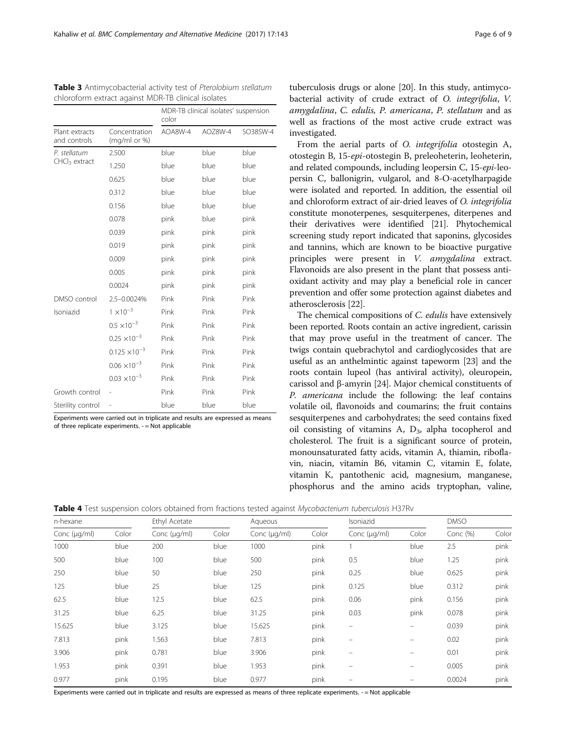|                                |                               | MDR-TB clinical isolates' suspension<br>color |         |          |
|--------------------------------|-------------------------------|-----------------------------------------------|---------|----------|
| Plant extracts<br>and controls | Concentration<br>(mg/ml or %) | AOA8W-4                                       | AOZ8W-4 | SO38SW-4 |
| P. stellatum                   | 2.500                         | blue                                          | blue    | blue     |
| $CHCl3$ extract                | 1.250                         | blue                                          | blue    | blue     |
|                                | 0.625                         | blue                                          | blue    | blue     |
|                                | 0.312                         | blue                                          | blue    | blue     |
|                                | 0.156                         | blue                                          | blue    | blue     |
|                                | 0.078                         | pink                                          | blue    | pink     |
|                                | 0.039                         | pink                                          | pink    | pink     |
|                                | 0.019                         | pink                                          | pink    | pink     |
|                                | 0.009                         | pink                                          | pink    | pink     |
|                                | 0.005                         | pink                                          | pink    | pink     |
|                                | 0.0024                        | pink                                          | pink    | pink     |
| DMSO control                   | 2.5-0.0024%                   | Pink                                          | Pink    | Pink     |
| Isoniazid                      | $1 \times 10^{-3}$            | Pink                                          | Pink    | Pink     |
|                                | $0.5 \times 10^{-3}$          | Pink                                          | Pink    | Pink     |
|                                | $0.25 \times 10^{-3}$         | Pink                                          | Pink    | Pink     |
|                                | $0.125 \times 10^{-3}$        | Pink                                          | Pink    | Pink     |
|                                | $0.06 \times 10^{-3}$         | Pink                                          | Pink    | Pink     |
|                                | $0.03 \times 10^{-3}$         | Pink                                          | Pink    | Pink     |
| Growth control                 |                               | Pink                                          | Pink    | Pink     |
| Sterility control              |                               | blue                                          | blue    | blue     |

<span id="page-5-0"></span>

| Table 3 Antimycobacterial activity test of Pterolobium stellatum |  |
|------------------------------------------------------------------|--|
| chloroform extract against MDR-TB clinical isolates              |  |

Experiments were carried out in triplicate and results are expressed as means of three replicate experiments. - = Not applicable

tuberculosis drugs or alone [[20](#page-8-0)]. In this study, antimycobacterial activity of crude extract of O. integrifolia, V. amygdalina, C. edulis, P. americana, P. stellatum and as well as fractions of the most active crude extract was investigated.

From the aerial parts of O. integrifolia otostegin A, otostegin B, 15-epi-otostegin B, preleoheterin, leoheterin, and related compounds, including leopersin C, 15-epi-leopersin C, ballonigrin, vulgarol, and 8-O-acetylharpagide were isolated and reported. In addition, the essential oil and chloroform extract of air-dried leaves of O. integrifolia constitute monoterpenes, sesquiterpenes, diterpenes and their derivatives were identified [\[21\]](#page-8-0). Phytochemical screening study report indicated that saponins, glycosides and tannins, which are known to be bioactive purgative principles were present in V. amygdalina extract. Flavonoids are also present in the plant that possess antioxidant activity and may play a beneficial role in cancer prevention and offer some protection against diabetes and atherosclerosis [\[22\]](#page-8-0).

The chemical compositions of *C. edulis* have extensively been reported. Roots contain an active ingredient, carissin that may prove useful in the treatment of cancer. The twigs contain quebrachytol and cardioglycosides that are useful as an anthelmintic against tapeworm [[23](#page-8-0)] and the roots contain lupeol (has antiviral activity), oleuropein, carissol and β-amyrin [[24](#page-8-0)]. Major chemical constituents of P. americana include the following: the leaf contains volatile oil, flavonoids and coumarins; the fruit contains sesquiterpenes and carbohydrates; the seed contains fixed oil consisting of vitamins A, D3, alpha tocopherol and cholesterol. The fruit is a significant source of protein, monounsaturated fatty acids, vitamin A, thiamin, riboflavin, niacin, vitamin B6, vitamin C, vitamin E, folate, vitamin K, pantothenic acid, magnesium, manganese, phosphorus and the amino acids tryptophan, valine,

| Table 4 Test suspension colors obtained from fractions tested against Mycobacterium tuberculosis H37Rv |  |  |  |
|--------------------------------------------------------------------------------------------------------|--|--|--|
|--------------------------------------------------------------------------------------------------------|--|--|--|

| n-hexane     |       | Ethyl Acetate |       | Aqueous      |       | Isoniazid                      |                          | <b>DMSO</b> |       |
|--------------|-------|---------------|-------|--------------|-------|--------------------------------|--------------------------|-------------|-------|
| Conc (µg/ml) | Color | Conc (µg/ml)  | Color | Conc (µg/ml) | Color | Conc $(\mu q/ml)$              | Color                    | Conc (%)    | Color |
| 1000         | blue  | 200           | blue  | 1000         | pink  |                                | blue                     | 2.5         | pink  |
| 500          | blue  | 100           | blue  | 500          | pink  | 0.5                            | blue                     | 1.25        | pink  |
| 250          | blue  | 50            | blue  | 250          | pink  | 0.25                           | blue                     | 0.625       | pink  |
| 125          | blue  | 25            | blue  | 125          | pink  | 0.125                          | blue                     | 0.312       | pink  |
| 62.5         | blue  | 12.5          | blue  | 62.5         | pink  | 0.06                           | pink                     | 0.156       | pink  |
| 31.25        | blue  | 6.25          | blue  | 31.25        | pink  | 0.03                           | pink                     | 0.078       | pink  |
| 15.625       | blue  | 3.125         | blue  | 15.625       | pink  | $\overline{\phantom{0}}$       | -                        | 0.039       | pink  |
| 7.813        | pink  | 1.563         | blue  | 7.813        | pink  | $\qquad \qquad \longleftarrow$ | -                        | 0.02        | pink  |
| 3.906        | pink  | 0.781         | blue  | 3.906        | pink  | -                              | $\overline{\phantom{m}}$ | 0.01        | pink  |
| 1.953        | pink  | 0.391         | blue  | 1.953        | pink  | -                              | -                        | 0.005       | pink  |
| 0.977        | pink  | 0.195         | blue  | 0.977        | pink  |                                | $\equiv$                 | 0.0024      | pink  |

Experiments were carried out in triplicate and results are expressed as means of three replicate experiments. - = Not applicable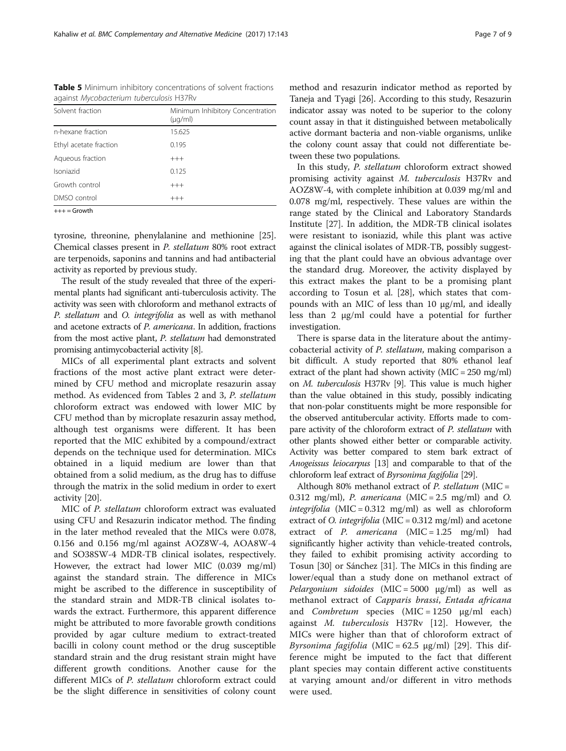<span id="page-6-0"></span>Table 5 Minimum inhibitory concentrations of solvent fractions against Mycobacterium tuberculosis H37Rv

| Solvent fraction       | Minimum Inhibitory Concentration<br>$(\mu q/ml)$ |
|------------------------|--------------------------------------------------|
| n-hexane fraction      | 15.625                                           |
| Ethyl acetate fraction | 0.195                                            |
| Aqueous fraction       | $+++$                                            |
| Isoniazid              | 0.125                                            |
| Growth control         | $+++$                                            |
| DMSO control           | $^{+++}$                                         |
| $\sim$ $\sim$ $\sim$   |                                                  |

 $+++=$  Growth

tyrosine, threonine, phenylalanine and methionine [[25](#page-8-0)]. Chemical classes present in P. stellatum 80% root extract are terpenoids, saponins and tannins and had antibacterial activity as reported by previous study.

The result of the study revealed that three of the experimental plants had significant anti-tuberculosis activity. The activity was seen with chloroform and methanol extracts of P. stellatum and O. integrifolia as well as with methanol and acetone extracts of P. americana. In addition, fractions from the most active plant, P. stellatum had demonstrated promising antimycobacterial activity [[8\]](#page-7-0).

MICs of all experimental plant extracts and solvent fractions of the most active plant extract were determined by CFU method and microplate resazurin assay method. As evidenced from Tables [2](#page-4-0) and [3,](#page-5-0) P. stellatum chloroform extract was endowed with lower MIC by CFU method than by microplate resazurin assay method, although test organisms were different. It has been reported that the MIC exhibited by a compound/extract depends on the technique used for determination. MICs obtained in a liquid medium are lower than that obtained from a solid medium, as the drug has to diffuse through the matrix in the solid medium in order to exert activity [[20\]](#page-8-0).

MIC of P. stellatum chloroform extract was evaluated using CFU and Resazurin indicator method. The finding in the later method revealed that the MICs were 0.078, 0.156 and 0.156 mg/ml against AOZ8W-4, AOA8W-4 and SO38SW-4 MDR-TB clinical isolates, respectively. However, the extract had lower MIC (0.039 mg/ml) against the standard strain. The difference in MICs might be ascribed to the difference in susceptibility of the standard strain and MDR-TB clinical isolates towards the extract. Furthermore, this apparent difference might be attributed to more favorable growth conditions provided by agar culture medium to extract-treated bacilli in colony count method or the drug susceptible standard strain and the drug resistant strain might have different growth conditions. Another cause for the different MICs of P. stellatum chloroform extract could be the slight difference in sensitivities of colony count

method and resazurin indicator method as reported by Taneja and Tyagi [[26](#page-8-0)]. According to this study, Resazurin indicator assay was noted to be superior to the colony count assay in that it distinguished between metabolically active dormant bacteria and non-viable organisms, unlike the colony count assay that could not differentiate between these two populations.

In this study, P. stellatum chloroform extract showed promising activity against M. tuberculosis H37Rv and AOZ8W-4, with complete inhibition at 0.039 mg/ml and 0.078 mg/ml, respectively. These values are within the range stated by the Clinical and Laboratory Standards Institute [\[27\]](#page-8-0). In addition, the MDR-TB clinical isolates were resistant to isoniazid, while this plant was active against the clinical isolates of MDR-TB, possibly suggesting that the plant could have an obvious advantage over the standard drug. Moreover, the activity displayed by this extract makes the plant to be a promising plant according to Tosun et al. [\[28\]](#page-8-0), which states that compounds with an MIC of less than 10 μg/ml, and ideally less than 2 μg/ml could have a potential for further investigation.

There is sparse data in the literature about the antimycobacterial activity of P. stellatum, making comparison a bit difficult. A study reported that 80% ethanol leaf extract of the plant had shown activity  $(MIC = 250 \text{ mg/ml})$ on M. tuberculosis H37Rv [\[9](#page-7-0)]. This value is much higher than the value obtained in this study, possibly indicating that non-polar constituents might be more responsible for the observed antitubercular activity. Efforts made to compare activity of the chloroform extract of P. stellatum with other plants showed either better or comparable activity. Activity was better compared to stem bark extract of Anogeissus leiocarpus [\[13](#page-7-0)] and comparable to that of the chloroform leaf extract of Byrsonima fagifolia [\[29\]](#page-8-0).

Although 80% methanol extract of  $P$ . stellatum (MIC = 0.312 mg/ml), *P. americana* (MIC =  $2.5$  mg/ml) and *O.*  $integrifolia$  (MIC = 0.312 mg/ml) as well as chloroform extract of O. *integrifolia* (MIC =  $0.312$  mg/ml) and acetone extract of *P. americana* (MIC =  $1.25$  mg/ml) had significantly higher activity than vehicle-treated controls, they failed to exhibit promising activity according to Tosun [[30](#page-8-0)] or Sánchez [\[31](#page-8-0)]. The MICs in this finding are lower/equal than a study done on methanol extract of Pelargonium sidoides (MIC = 5000  $\mu$ g/ml) as well as methanol extract of Capparis brassi, Entada africana and *Combretum* species  $(MIC = 1250 \mu g/ml$  each) against M. tuberculosis H37Rv [[12](#page-7-0)]. However, the MICs were higher than that of chloroform extract of Byrsonima fagifolia (MIC =  $62.5 \text{ µg/ml}$ ) [\[29](#page-8-0)]. This difference might be imputed to the fact that different plant species may contain different active constituents at varying amount and/or different in vitro methods were used.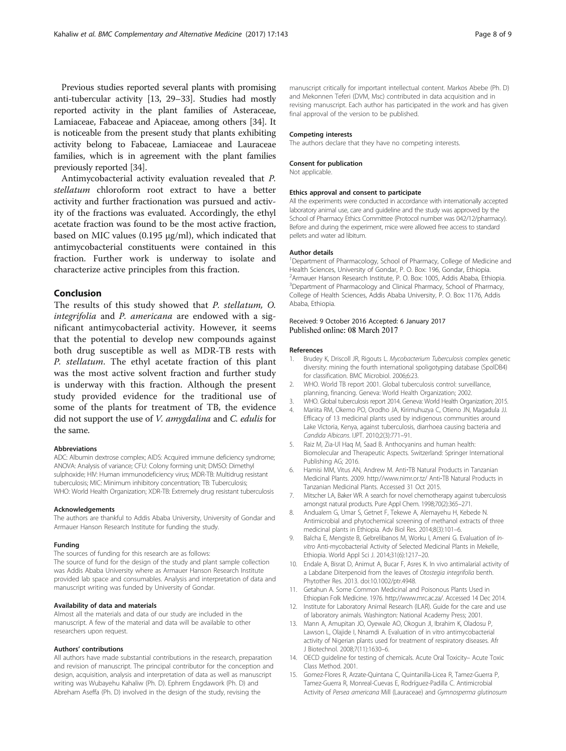<span id="page-7-0"></span>Previous studies reported several plants with promising anti-tubercular activity [13, [29](#page-8-0)–[33](#page-8-0)]. Studies had mostly reported activity in the plant families of Asteraceae, Lamiaceae, Fabaceae and Apiaceae, among others [[34\]](#page-8-0). It is noticeable from the present study that plants exhibiting activity belong to Fabaceae, Lamiaceae and Lauraceae families, which is in agreement with the plant families previously reported [\[34\]](#page-8-0).

Antimycobacterial activity evaluation revealed that P. stellatum chloroform root extract to have a better activity and further fractionation was pursued and activity of the fractions was evaluated. Accordingly, the ethyl acetate fraction was found to be the most active fraction, based on MIC values (0.195 μg/ml), which indicated that antimycobacterial constituents were contained in this fraction. Further work is underway to isolate and characterize active principles from this fraction.

#### Conclusion

The results of this study showed that P. stellatum, O. integrifolia and P. americana are endowed with a significant antimycobacterial activity. However, it seems that the potential to develop new compounds against both drug susceptible as well as MDR-TB rests with P. stellatum. The ethyl acetate fraction of this plant was the most active solvent fraction and further study is underway with this fraction. Although the present study provided evidence for the traditional use of some of the plants for treatment of TB, the evidence did not support the use of V. amygdalina and C. edulis for the same.

#### Abbreviations

ADC: Albumin dextrose complex; AIDS: Acquired immune deficiency syndrome; ANOVA: Analysis of variance; CFU: Colony forming unit; DMSO: Dimethyl sulphoxide; HIV: Human immunodeficiency virus; MDR-TB: Multidrug resistant tuberculosis; MIC: Minimum inhibitory concentration; TB: Tuberculosis; WHO: World Health Organization; XDR-TB: Extremely drug resistant tuberculosis

#### Acknowledgements

The authors are thankful to Addis Ababa University, University of Gondar and Armauer Hanson Research Institute for funding the study.

#### Funding

The sources of funding for this research are as follows: The source of fund for the design of the study and plant sample collection was Addis Ababa University where as Armauer Hanson Research Institute provided lab space and consumables. Analysis and interpretation of data and manuscript writing was funded by University of Gondar.

#### Availability of data and materials

Almost all the materials and data of our study are included in the manuscript. A few of the material and data will be available to other researchers upon request.

#### Authors' contributions

All authors have made substantial contributions in the research, preparation and revision of manuscript. The principal contributor for the conception and design, acquisition, analysis and interpretation of data as well as manuscript writing was Wubayehu Kahaliw (Ph. D). Ephrem Engdawork (Ph. D) and Abreham Aseffa (Ph. D) involved in the design of the study, revising the

manuscript critically for important intellectual content. Markos Abebe (Ph. D) and Mekonnen Teferi (DVM, Msc) contributed in data acquisition and in revising manuscript. Each author has participated in the work and has given final approval of the version to be published.

#### Competing interests

The authors declare that they have no competing interests.

#### Consent for publication

Not applicable.

#### Ethics approval and consent to participate

All the experiments were conducted in accordance with internationally accepted laboratory animal use, care and guideline and the study was approved by the School of Pharmacy Ethics Committee (Protocol number was 042/12/pharmacy). Before and during the experiment, mice were allowed free access to standard pellets and water ad libitum.

#### Author details

<sup>1</sup>Department of Pharmacology, School of Pharmacy, College of Medicine and Health Sciences, University of Gondar, P. O. Box: 196, Gondar, Ethiopia. 2 Armauer Hanson Research Institute, P. O. Box: 1005, Addis Ababa, Ethiopia. <sup>3</sup> Department of Pharmacology and Clinical Pharmacy, School of Pharmacy, College of Health Sciences, Addis Ababa University, P. O. Box: 1176, Addis Ababa, Ethiopia.

#### Received: 9 October 2016 Accepted: 6 January 2017 Published online: 08 March 2017

#### References

- 1. Brudey K, Driscoll JR, Rigouts L. Mycobacterium Tuberculosis complex genetic diversity: mining the fourth international spoligotyping database (SpolDB4) for classification. BMC Microbiol. 2006;6:23.
- 2. WHO. World TB report 2001. Global tuberculosis control: surveillance, planning, financing. Geneva: World Health Organization; 2002.
- 3. WHO. Global tuberculosis report 2014. Geneva: World Health Organization; 2015. 4. Mariita RM, Okemo PO, Orodho JA, Kirimuhuzya C, Otieno JN, Magadula JJ.
- Efficacy of 13 medicinal plants used by indigenous communities around Lake Victoria, Kenya, against tuberculosis, diarrhoea causing bacteria and Candida Albicans. IJPT. 2010;2(3):771–91.
- 5. Raiz M, Zia-Ul Haq M, Saad B. Anthocyanins and human health: Biomolecular and Therapeutic Aspects. Switzerland: Springer International Publishing AG; 2016.
- 6. Hamisi MM, Vitus AN, Andrew M. Anti‐TB Natural Products in Tanzanian Medicinal Plants. 2009.<http://www.nimr.or.tz/> Anti‐TB Natural Products in Tanzanian Medicinal Plants. Accessed 31 Oct 2015.
- 7. Mitscher LA, Baker WR. A search for novel chemotherapy against tuberculosis amongst natural products. Pure Appl Chem. 1998;70(2):365–271.
- 8. Andualem G, Umar S, Getnet F, Tekewe A, Alemayehu H, Kebede N. Antimicrobial and phytochemical screening of methanol extracts of three medicinal plants in Ethiopia. Adv Biol Res. 2014;8(3):101–6.
- 9. Balcha E, Mengiste B, Gebrelibanos M, Worku I, Ameni G. Evaluation of Invitro Anti-mycobacterial Activity of Selected Medicinal Plants in Mekelle, Ethiopia. World Appl Sci J. 2014;31(6):1217–20.
- 10. Endale A, Bisrat D, Animut A, Bucar F, Asres K. In vivo antimalarial activity of a Labdane Diterpenoid from the leaves of Otostegia integrifolia benth. Phytother Res. 2013. doi:[10.1002/ptr.4948.](http://dx.doi.org/10.1002/ptr.4948)
- 11. Getahun A. Some Common Medicinal and Poisonous Plants Used in Ethiopian Folk Medicine. 1976.<http://www.mrc.ac.za/>. Accessed 14 Dec 2014.
- 12. Institute for Laboratory Animal Research (ILAR). Guide for the care and use of laboratory animals. Washington: National Academy Press; 2001.
- 13. Mann A, Amupitan JO, Oyewale AO, Okogun JI, Ibrahim K, Oladosu P, Lawson L, Olajide I, Nnamdi A. Evaluation of in vitro antimycobacterial activity of Nigerian plants used for treatment of respiratory diseases. Afr J Biotechnol. 2008;7(11):1630–6.
- 14. OECD guideline for testing of chemicals. Acute Oral Toxicity– Acute Toxic Class Method. 2001.
- 15. Gomez-Flores R, Arzate-Quintana C, Quintanilla-Licea R, Tamez-Guerra P, Tamez-Guerra R, Monreal-Cuevas E, Rodríguez-Padilla C. Antimicrobial Activity of Persea americana Mill (Lauraceae) and Gymnosperma glutinosum